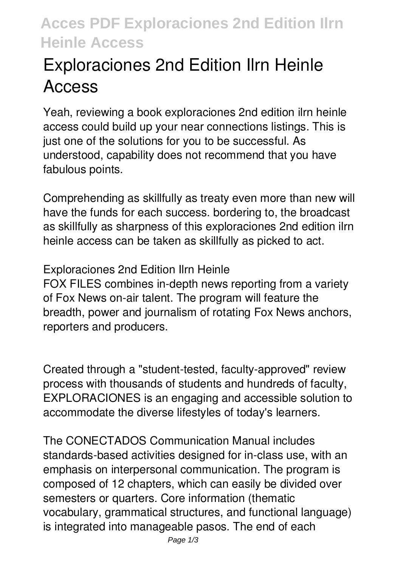## **Acces PDF Exploraciones 2nd Edition Ilrn Heinle Access**

## **Exploraciones 2nd Edition Ilrn Heinle Access**

Yeah, reviewing a book **exploraciones 2nd edition ilrn heinle access** could build up your near connections listings. This is just one of the solutions for you to be successful. As understood, capability does not recommend that you have fabulous points.

Comprehending as skillfully as treaty even more than new will have the funds for each success. bordering to, the broadcast as skillfully as sharpness of this exploraciones 2nd edition ilrn heinle access can be taken as skillfully as picked to act.

**Exploraciones 2nd Edition Ilrn Heinle** FOX FILES combines in-depth news reporting from a variety of Fox News on-air talent. The program will feature the breadth, power and journalism of rotating Fox News anchors, reporters and producers.

Created through a "student-tested, faculty-approved" review process with thousands of students and hundreds of faculty, EXPLORACIONES is an engaging and accessible solution to accommodate the diverse lifestyles of today's learners.

The CONECTADOS Communication Manual includes standards-based activities designed for in-class use, with an emphasis on interpersonal communication. The program is composed of 12 chapters, which can easily be divided over semesters or quarters. Core information (thematic vocabulary, grammatical structures, and functional language) is integrated into manageable pasos. The end of each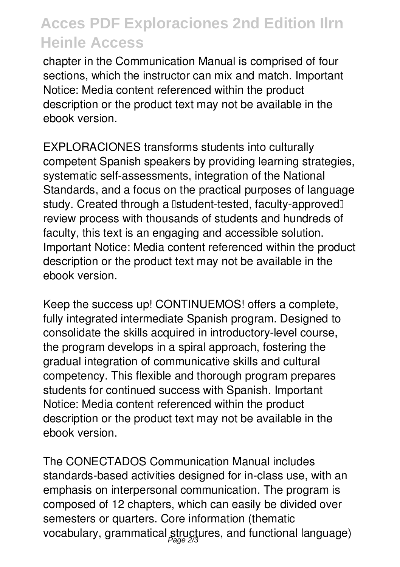## **Acces PDF Exploraciones 2nd Edition Ilrn Heinle Access**

chapter in the Communication Manual is comprised of four sections, which the instructor can mix and match. Important Notice: Media content referenced within the product description or the product text may not be available in the ebook version.

EXPLORACIONES transforms students into culturally competent Spanish speakers by providing learning strategies, systematic self-assessments, integration of the National Standards, and a focus on the practical purposes of language study. Created through a **Istudent-tested**, faculty-approved I review process with thousands of students and hundreds of faculty, this text is an engaging and accessible solution. Important Notice: Media content referenced within the product description or the product text may not be available in the ebook version.

Keep the success up! CONTINUEMOS! offers a complete, fully integrated intermediate Spanish program. Designed to consolidate the skills acquired in introductory-level course, the program develops in a spiral approach, fostering the gradual integration of communicative skills and cultural competency. This flexible and thorough program prepares students for continued success with Spanish. Important Notice: Media content referenced within the product description or the product text may not be available in the ebook version.

The CONECTADOS Communication Manual includes standards-based activities designed for in-class use, with an emphasis on interpersonal communication. The program is composed of 12 chapters, which can easily be divided over semesters or quarters. Core information (thematic vocabulary, grammatical structures, and functional language)